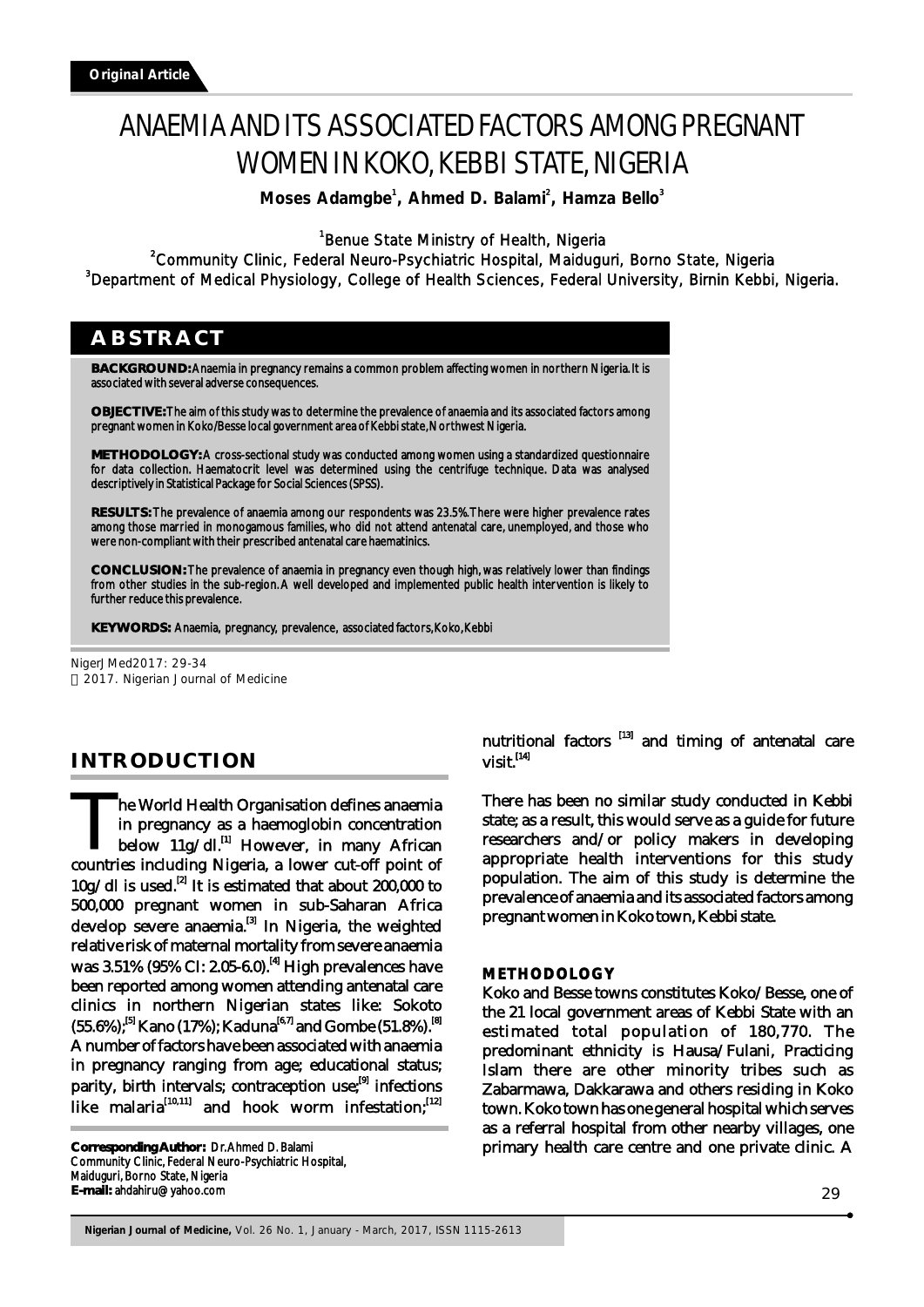# ANAEMIA AND ITS ASSOCIATED FACTORS AMONG PREGNANT WOMEN IN KOKO, KEBBI STATE, NIGERIA

**Moses Adamgbe<sup>1</sup>, Ahmed D. Balami<sup>2</sup>, Hamza Bello<sup>3</sup>** 

<sup>1</sup>Benue State Ministry of Health, Nigeria

<sup>2</sup>Community Clinic, Federal Neuro-Psychiatric Hospital, Maiduguri, Borno State, Nigeria <sup>3</sup>Department of Medical Physiology, College of Health Sciences, Federal University, Birnin Kebbi, Nigeria.

## **ABSTRACT**

**BACKGROUND:** Anaemia in pregnancy remains a common problem affecting women in northern Nigeria. It is associated with several adverse consequences.

**OBJECTIVE:** The aim of this study was to determine the prevalence of anaemia and its associated factors among pregnant women in Koko/Besse local government area of Kebbi state, Northwest Nigeria.

**METHODOLOGY:** A cross-sectional study was conducted among women using a standardized questionnaire for data collection. Haematocrit level was determined using the centrifuge technique. Data was analysed descriptively in Statistical Package for Social Sciences (SPSS).

**RESULTS:** The prevalence of anaemia among our respondents was 23.5%. There were higher prevalence rates among those married in monogamous families, who did not attend antenatal care, unemployed, and those who were non-compliant with their prescribed antenatal care haematinics.

**CONCLUSION:** The prevalence of anaemia in pregnancy even though high, was relatively lower than findings from other studies in the sub-region. A well developed and implemented public health intervention is likely to further reduce this prevalence.

**KEYWORDS:** Anaemia, pregnancy, prevalence, associated factors, Koko, Kebbi

NigerJMed2017: 29-34 2017. Nigerian Journal of Medicine

## **INTRODUCTION**

The World Health Organisation defines anaemia<br>in pregnancy as a haemoglobin concentration below  $11g/dl$ .<sup>[1]</sup> However, in many African countries including Nigeria, a lower cut-off point of  $10g/dl$  is used.<sup>[2]</sup> It is estimated that about 200,000 to 500,000 pregnant women in sub-Saharan Africa develop severe anaemia.<sup>[3]</sup> In Nigeria, the weighted relative risk of maternal mortality from severe anaemia was 3.51% (95% CI: 2.05-6.0).<sup>[4]</sup> High prevalences have been reported among women attending antenatal care clinics in northern Nigerian states like: Sokoto (55.6%);<sup>[5]</sup> Kano (17%); Kaduna<sup>[6,7]</sup> and Gombe (51.8%).<sup>[8]</sup> A number of factors have been associated with anaemia in pregnancy ranging from age; educational status; parity, birth intervals; contraception use; $[9]$  infections like malaria $^{[10,11]}$  and hook worm infestation; $^{[12]}$ 

**Corresponding Author:** Dr. Ahmed D. Balami Community Clinic, Federal Neuro-Psychiatric Hospital, Maiduguri, Borno State, Nigeria **E-mail:** ahdahiru@yahoo.com

nutritional factors  $[13]$  and timing of antenatal care  $\boldsymbol{\mathrm{visit}}$ . [14]

There has been no similar study conducted in Kebbi state; as a result, this would serve as a guide for future researchers and/or policy makers in developing appropriate health interventions for this study population. The aim of this study is determine the prevalence of anaemia and its associated factors among pregnant women in Koko town, Kebbi state.

#### **METHODOLOGY**

Koko and Besse towns constitutes Koko/Besse, one of the 21 local government areas of Kebbi State with an estimated total population of 180,770. The predominant ethnicity is Hausa/Fulani, Practicing Islam there are other minority tribes such as Zabarmawa, Dakkarawa and others residing in Koko town. Koko town has one general hospital which serves as a referral hospital from other nearby villages, one primary health care centre and one private clinic. A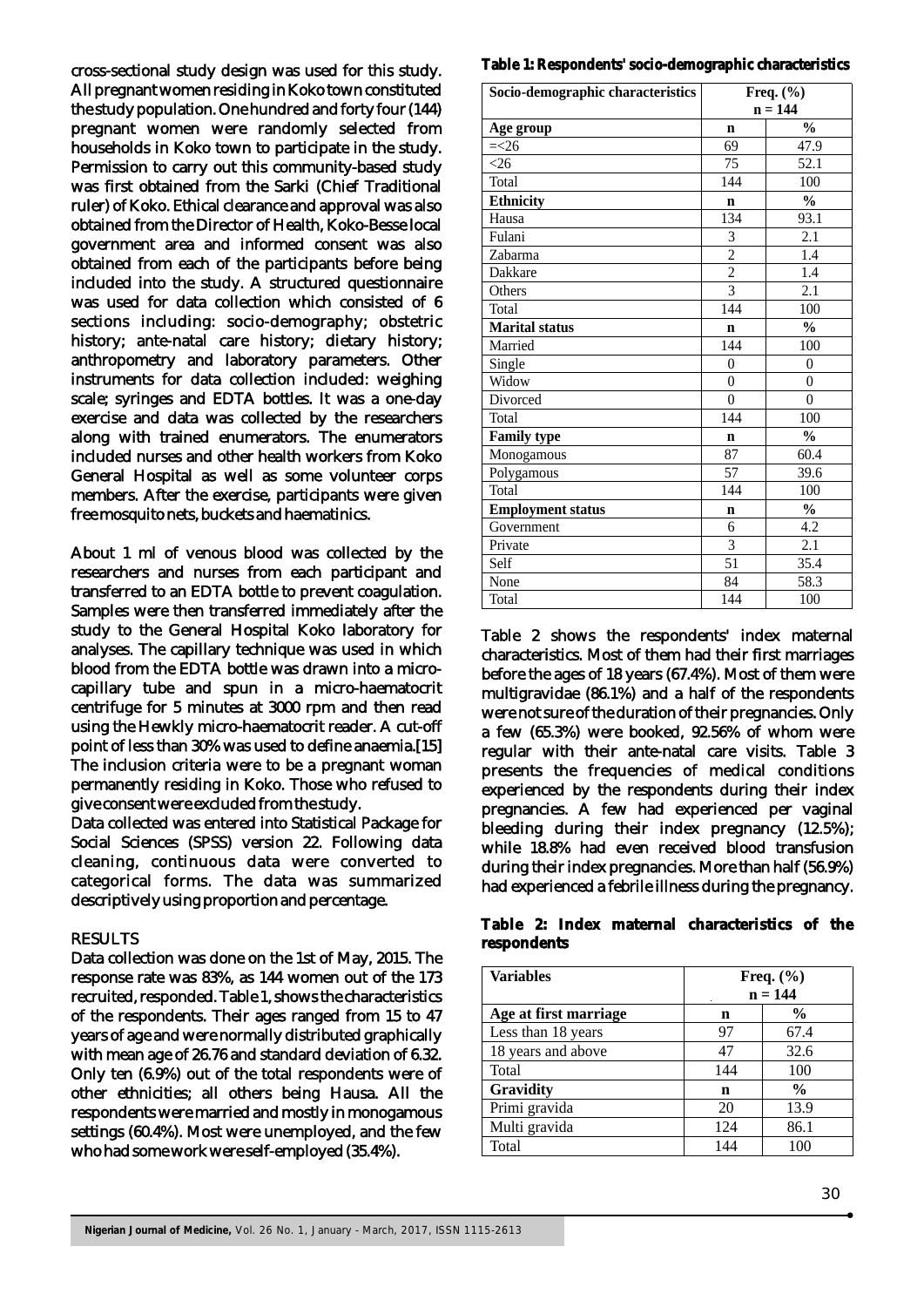cross-sectional study design was used for this study. All pregnant women residing in Koko town constituted the study population. One hundred and forty four (144) pregnant women were randomly selected from households in Koko town to participate in the study. Permission to carry out this community-based study was first obtained from the Sarki (Chief Traditional ruler) of Koko. Ethical clearance and approval was also obtained from the Director of Health, Koko-Besse local government area and informed consent was also obtained from each of the participants before being included into the study. A structured questionnaire was used for data collection which consisted of 6 sections including: socio-demography; obstetric history; ante-natal care history; dietary history; anthropometry and laboratory parameters. Other instruments for data collection included: weighing scale; syringes and EDTA bottles. It was a one-day exercise and data was collected by the researchers along with trained enumerators. The enumerators included nurses and other health workers from Koko General Hospital as well as some volunteer corps members. After the exercise, participants were given free mosquito nets, buckets and haematinics.

About 1 ml of venous blood was collected by the researchers and nurses from each participant and transferred to an EDTA bottle to prevent coagulation. Samples were then transferred immediately after the study to the General Hospital Koko laboratory for analyses. The capillary technique was used in which blood from the EDTA bottle was drawn into a microcapillary tube and spun in a micro-haematocrit centrifuge for 5 minutes at 3000 rpm and then read using the Hewkly micro-haematocrit reader. A cut-off point of less than 30% was used to define anaemia.[15] The inclusion criteria were to be a pregnant woman permanently residing in Koko. Those who refused to give consent were excluded from the study.

Data collected was entered into Statistical Package for Social Sciences (SPSS) version 22. Following data cleaning, continuous data were converted to categorical forms. The data was summarized descriptively using proportion and percentage.

#### RESULTS

Data collection was done on the 1st of May, 2015. The response rate was 83%, as 144 women out of the 173 recruited, responded. Table 1, shows the characteristics of the respondents. Their ages ranged from 15 to 47 years of age and were normally distributed graphically with mean age of 26.76 and standard deviation of 6.32. Only ten (6.9%) out of the total respondents were of other ethnicities; all others being Hausa. All the respondents were married and mostly in monogamous settings (60.4%). Most were unemployed, and the few who had some work were self-employed (35.4%).

#### **Table 1: Respondents' socio-demographic characteristics**

| Socio-demographic characteristics | Freq. $(\% )$  |                |
|-----------------------------------|----------------|----------------|
|                                   | $n = 144$      |                |
| Age group                         | n              | $\frac{0}{0}$  |
| $=<26$                            | 69             | 47.9           |
| <26                               | 75             | 52.1           |
| Total                             | 144            | 100            |
| <b>Ethnicity</b>                  | $\mathbf n$    | $\frac{0}{0}$  |
| Hausa                             | 134            | 93.1           |
| Fulani                            | 3              | 2.1            |
| Zabarma                           | $\frac{2}{2}$  | 1.4            |
| Dakkare                           |                | 1.4            |
| Others                            | $\overline{3}$ | 2.1            |
| Total                             | 144            | 100            |
| <b>Marital status</b>             | $\mathbf n$    | $\frac{0}{0}$  |
| Married                           | 144            | 100            |
| Single                            | $\overline{0}$ | $\theta$       |
| Widow                             | $\overline{0}$ | $\overline{0}$ |
| Divorced                          | $\theta$       | $\theta$       |
| Total                             | 144            | 100            |
| <b>Family type</b>                | $\mathbf n$    | $\frac{0}{0}$  |
| Monogamous                        | 87             | 60.4           |
| Polygamous                        | 57             | 39.6           |
| Total                             | 144            | 100            |
| <b>Employment status</b>          | n              | $\frac{0}{0}$  |
| Government                        | 6              | 4.2            |
| Private                           | 3              | 2.1            |
| Self                              | 51             | 35.4           |
| None                              | 84             | 58.3           |
| Total                             | 144            | 100            |

Table 2 shows the respondents' index maternal characteristics. Most of them had their first marriages before the ages of 18 years (67.4%). Most of them were multigravidae (86.1%) and a half of the respondents were not sure of the duration of their pregnancies. Only a few (65.3%) were booked, 92.56% of whom were regular with their ante-natal care visits. Table 3 presents the frequencies of medical conditions experienced by the respondents during their index pregnancies. A few had experienced per vaginal bleeding during their index pregnancy (12.5%); while 18.8% had even received blood transfusion during their index pregnancies. More than half (56.9%) had experienced a febrile illness during the pregnancy.

**Table 2: Index maternal characteristics of the respondents**

| <b>Variables</b>      | Freq. $(\% )$<br>$n = 144$ |               |
|-----------------------|----------------------------|---------------|
| Age at first marriage | n                          | $\frac{6}{9}$ |
| Less than 18 years    | 97                         | 67.4          |
| 18 years and above    | 47                         | 32.6          |
| Total                 | 144                        | 100           |
| Gravidity             | n                          | $\frac{0}{0}$ |
| Primi gravida         | 20                         | 13.9          |
| Multi gravida         | 124                        | 86.1          |
| Total                 | 144                        | 100           |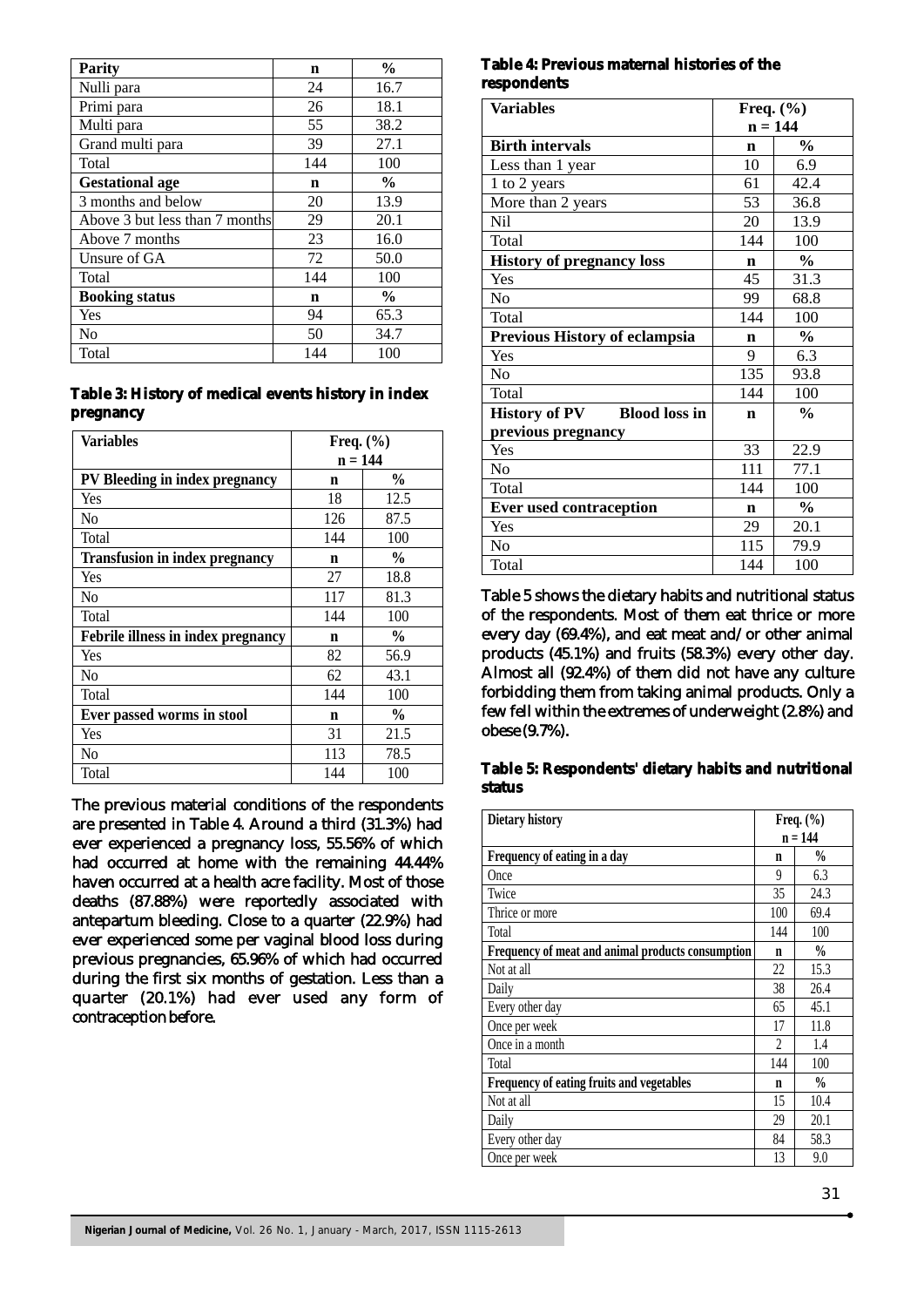| <b>Parity</b>                  | $\mathbf n$ | $\frac{0}{0}$ |
|--------------------------------|-------------|---------------|
| Nulli para                     | 24          | 16.7          |
| Primi para                     | 26          | 18.1          |
| Multi para                     | 55          | 38.2          |
| Grand multi para               | 39          | 27.1          |
| Total                          | 144         | 100           |
| <b>Gestational age</b>         | n           | $\frac{0}{0}$ |
| 3 months and below             | 20          | 13.9          |
| Above 3 but less than 7 months | 29          | 20.1          |
| Above 7 months                 | 23          | 16.0          |
| Unsure of GA                   | 72          | 50.0          |
| Total                          | 144         | 100           |
| <b>Booking status</b>          | $\mathbf n$ | $\frac{0}{0}$ |
| Yes                            | 94          | 65.3          |
| No                             | 50          | 34.7          |
| Total                          | 144         | 100           |

#### **Table 3: History of medical events history in index pregnancy**

| <b>Variables</b>                      | Freq. $(\% )$ |               |
|---------------------------------------|---------------|---------------|
|                                       | $n = 144$     |               |
| PV Bleeding in index pregnancy        | n             | $\frac{0}{0}$ |
| Yes                                   | 18            | 12.5          |
| No                                    | 126           | 87.5          |
| Total                                 | 144           | 100           |
| <b>Transfusion in index pregnancy</b> | n             | $\frac{0}{0}$ |
| Yes                                   | 27            | 18.8          |
| No                                    | 117           | 81.3          |
| Total                                 | 144           | 100           |
| Febrile illness in index pregnancy    | n             | $\frac{0}{0}$ |
| Yes                                   | 82            | 56.9          |
| No                                    | 62            | 43.1          |
| Total                                 | 144           | 100           |
| Ever passed worms in stool            | n             | $\frac{0}{0}$ |
| Yes                                   | 31            | 21.5          |
| No                                    | 113           | 78.5          |
| Total                                 | 144           | 100           |

The previous material conditions of the respondents are presented in Table 4. Around a third (31.3%) had ever experienced a pregnancy loss, 55.56% of which had occurred at home with the remaining 44.44% haven occurred at a health acre facility. Most of those deaths (87.88%) were reportedly associated with antepartum bleeding. Close to a quarter (22.9%) had ever experienced some per vaginal blood loss during previous pregnancies, 65.96% of which had occurred during the first six months of gestation. Less than a quarter (20.1%) had ever used any form of contraception before.

#### **Table 4: Previous maternal histories of the respondents**

| <b>Variables</b>                             | Freq. $(\% )$ |               |
|----------------------------------------------|---------------|---------------|
|                                              | $n = 144$     |               |
| <b>Birth intervals</b>                       | n             | $\frac{0}{0}$ |
| Less than 1 year                             | 10            | 6.9           |
| 1 to 2 years                                 | 61            | 42.4          |
| More than 2 years                            | 53            | 36.8          |
| <b>Nil</b>                                   | 20            | 13.9          |
| Total                                        | 144           | 100           |
| <b>History of pregnancy loss</b>             | $\mathbf n$   | $\frac{0}{0}$ |
| Yes                                          | 45            | 31.3          |
| N <sub>0</sub>                               | 99            | 68.8          |
| Total                                        | 144           | 100           |
| Previous History of eclampsia                | $\mathbf n$   | $\frac{0}{0}$ |
| Yes                                          | 9             | 6.3           |
| N <sub>0</sub>                               | 135           | 93.8          |
| Total                                        | 144           | 100           |
| <b>Blood loss in</b><br><b>History of PV</b> | $\mathbf n$   | $\frac{0}{0}$ |
| previous pregnancy                           |               |               |
| Yes                                          | 33            | 22.9          |
| N <sub>o</sub>                               | 111           | 77.1          |
| Total                                        | 144           | 100           |
| <b>Ever used contraception</b>               | n             | $\frac{0}{0}$ |
| Yes                                          | 29            | 20.1          |
| N <sub>0</sub>                               | 115           | 79.9          |
| Total                                        | 144           | 100           |

Table 5 shows the dietary habits and nutritional status of the respondents. Most of them eat thrice or more every day (69.4%), and eat meat and/or other animal products (45.1%) and fruits (58.3%) every other day. Almost all (92.4%) of them did not have any culture forbidding them from taking animal products. Only a few fell within the extremes of underweight (2.8%) and obese (9.7%).

**Table 5: Respondents' dietary habits and nutritional status**

| Dietary history                                   |                | Freq. $(\% )$ |
|---------------------------------------------------|----------------|---------------|
|                                                   | $n = 144$      |               |
| Frequency of eating in a day                      | n              | $\frac{0}{0}$ |
| Once                                              | 9              | 6.3           |
| Twice                                             | 35             | 24.3          |
| Thrice or more                                    | 100            | 69.4          |
| Total                                             | 144            | 100           |
| Frequency of meat and animal products consumption | n              | $\frac{0}{0}$ |
| Not at all                                        | 22             | 15.3          |
| Daily                                             | 38             | 26.4          |
| Every other day                                   | 65             | 45.1          |
| Once per week                                     | 17             | 11.8          |
| Once in a month                                   | $\mathfrak{D}$ | 1.4           |
| Total                                             | 144            | 100           |
| <b>Frequency of eating fruits and vegetables</b>  | n              | $\frac{0}{0}$ |
| Not at all                                        | 15             | 10.4          |
| Daily                                             | 29             | 20.1          |
| Every other day                                   | 84             | 58.3          |
| Once per week                                     | 13             | 9.0           |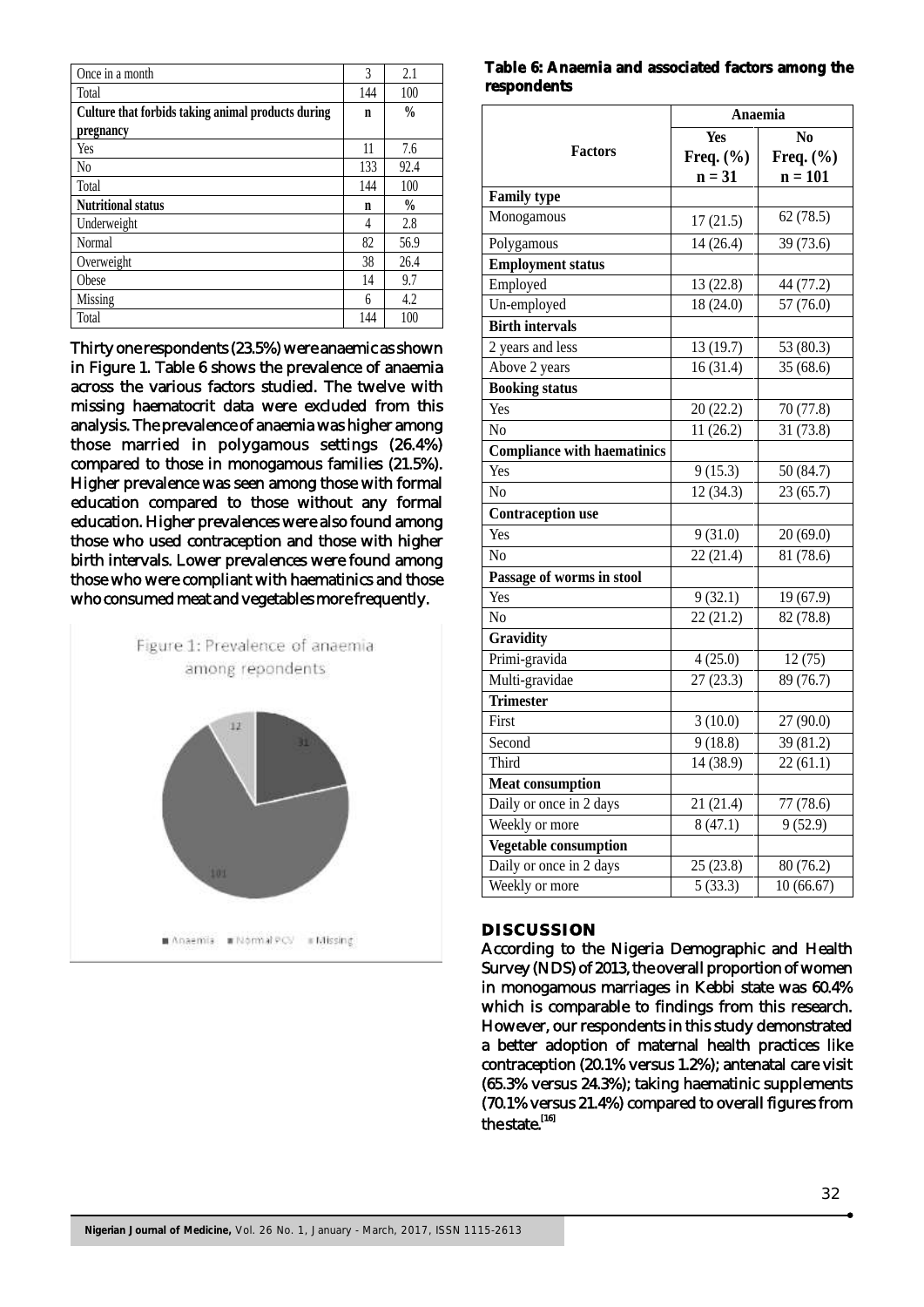| Once in a month                                    | 3   | 2.1           |
|----------------------------------------------------|-----|---------------|
| Total                                              | 144 | 100           |
| Culture that forbids taking animal products during | n   | $\frac{0}{0}$ |
| pregnancy                                          |     |               |
| Yes                                                | 11  | 7.6           |
| N <sub>0</sub>                                     | 133 | 92.4          |
| Total                                              | 144 | 100           |
| <b>Nutritional status</b>                          | n   | $\frac{0}{0}$ |
| Underweight                                        | 4   | 2.8           |
| Normal                                             | 82  | 56.9          |
| Overweight                                         | 38  | 26.4          |
| Obese                                              | 14  | 9.7           |
| Missing                                            | 6   | 4.2           |
| Total                                              | 144 | 100           |

Thirty one respondents (23.5%) were anaemic as shown in Figure 1. Table 6 shows the prevalence of anaemia across the various factors studied. The twelve with missing haematocrit data were excluded from this analysis. The prevalence of anaemia was higher among those married in polygamous settings (26.4%) compared to those in monogamous families (21.5%). Higher prevalence was seen among those with formal education compared to those without any formal education. Higher prevalences were also found among those who used contraception and those with higher birth intervals. Lower prevalences were found among those who were compliant with haematinics and those who consumed meat and vegetables more frequently.



#### **Table 6: Anaemia and associated factors among the respondents**

|                                    | Anaemia       |               |  |
|------------------------------------|---------------|---------------|--|
|                                    | <b>Yes</b>    | No            |  |
| Factors                            | Freq. $(\% )$ | Freq. $(\% )$ |  |
|                                    | $n = 31$      | $n = 101$     |  |
| <b>Family type</b>                 |               |               |  |
| Monogamous                         | 17(21.5)      | 62(78.5)      |  |
| Polygamous                         | 14(26.4)      | 39 (73.6)     |  |
| <b>Employment status</b>           |               |               |  |
| Employed                           | 13 (22.8)     | 44 (77.2)     |  |
| Un-employed                        | 18 (24.0)     | 57 (76.0)     |  |
| <b>Birth intervals</b>             |               |               |  |
| 2 years and less                   | 13 (19.7)     | 53 (80.3)     |  |
| Above 2 years                      | 16(31.4)      | 35 (68.6)     |  |
| <b>Booking status</b>              |               |               |  |
| Yes                                | 20 (22.2)     | 70 (77.8)     |  |
| N <sub>0</sub>                     | 11(26.2)      | 31 (73.8)     |  |
| <b>Compliance with haematinics</b> |               |               |  |
| Yes                                | 9(15.3)       | 50 (84.7)     |  |
| No                                 | 12(34.3)      | 23(65.7)      |  |
| <b>Contraception use</b>           |               |               |  |
| Yes                                | 9(31.0)       | 20(69.0)      |  |
| $\overline{No}$                    | 22(21.4)      | 81(78.6)      |  |
| Passage of worms in stool          |               |               |  |
| Yes                                | 9(32.1)       | 19 (67.9)     |  |
| N <sub>0</sub>                     | 22(21.2)      | 82 (78.8)     |  |
| Gravidity                          |               |               |  |
| Primi-gravida                      | 4(25.0)       | 12 (75)       |  |
| Multi-gravidae                     | 27(23.3)      | 89 (76.7)     |  |
| <b>Trimester</b>                   |               |               |  |
| First                              | 3(10.0)       | 27 (90.0)     |  |
| Second                             | 9(18.8)       | 39 (81.2)     |  |
| Third                              | 14 (38.9)     | 22(61.1)      |  |
| <b>Meat consumption</b>            |               |               |  |
| Daily or once in 2 days            | 21 (21.4)     | 77 (78.6)     |  |
| Weekly or more                     | 8(47.1)       | 9(52.9)       |  |
| <b>Vegetable consumption</b>       |               |               |  |
| Daily or once in 2 days            | 25(23.8)      | 80 (76.2)     |  |
| Weekly or more                     | 5(33.3)       | 10(66.67)     |  |

### **DISCUSSION**

According to the Nigeria Demographic and Health Survey (NDS) of 2013, the overall proportion of women in monogamous marriages in Kebbi state was 60.4% which is comparable to findings from this research. However, our respondents in this study demonstrated a better adoption of maternal health practices like contraception (20.1% versus 1.2%); antenatal care visit (65.3% versus 24.3%); taking haematinic supplements (70.1% versus 21.4%) compared to overall figures from  $the state.$ <sup>[16]</sup>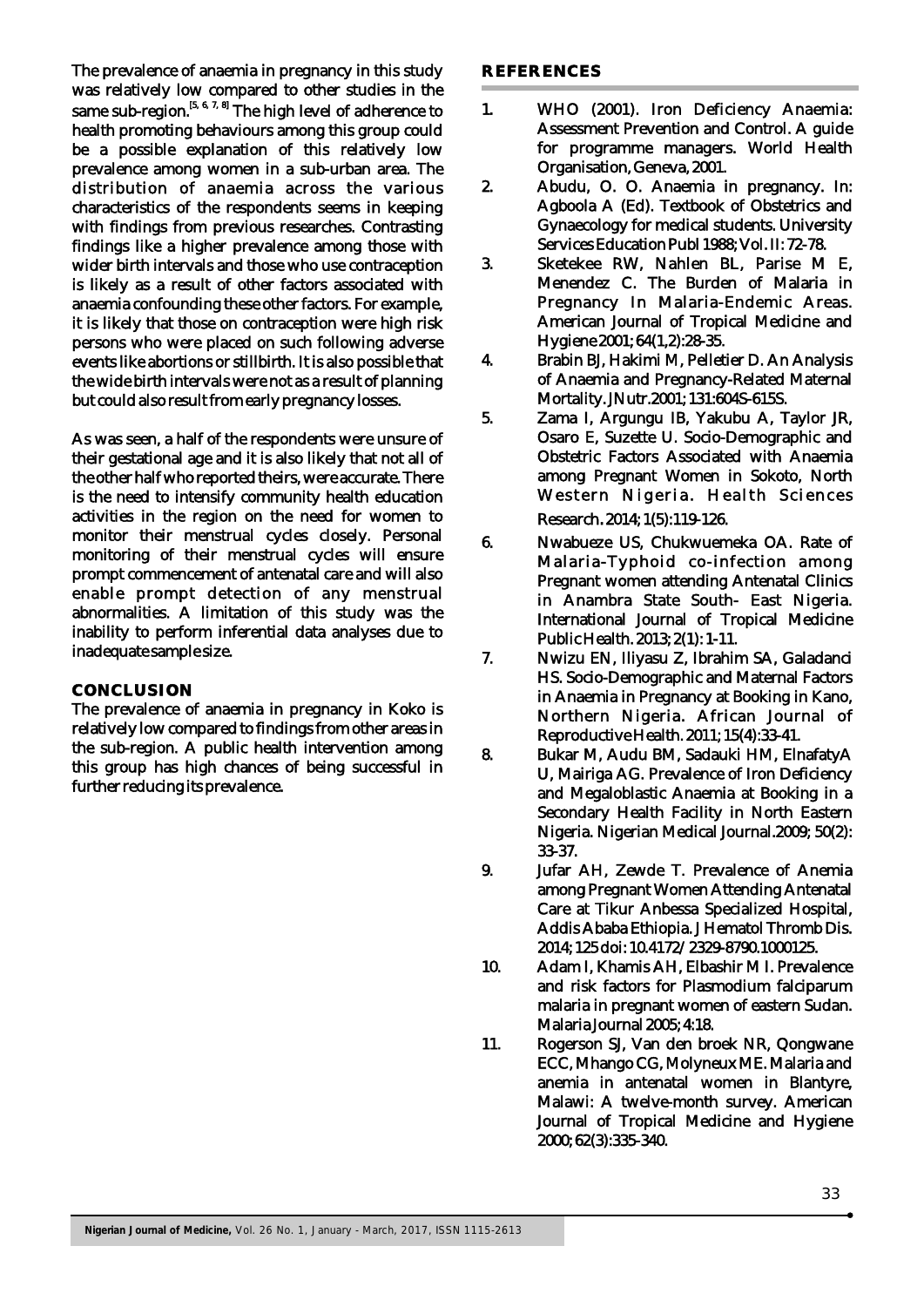The prevalence of anaemia in pregnancy in this study was relatively low compared to other studies in the same sub-region.<sup>[5, 6, 7, 8]</sup> The high level of adherence to health promoting behaviours among this group could be a possible explanation of this relatively low prevalence among women in a sub-urban area. The distribution of anaemia across the various characteristics of the respondents seems in keeping with findings from previous researches. Contrasting findings like a higher prevalence among those with wider birth intervals and those who use contraception is likely as a result of other factors associated with anaemia confounding these other factors. For example, it is likely that those on contraception were high risk persons who were placed on such following adverse events like abortions or stillbirth. It is also possible that the wide birth intervals were not as a result of planning but could also result from early pregnancy losses.

As was seen, a half of the respondents were unsure of their gestational age and it is also likely that not all of the other half who reported theirs, were accurate. There is the need to intensify community health education activities in the region on the need for women to monitor their menstrual cycles closely. Personal monitoring of their menstrual cycles will ensure prompt commencement of antenatal care and will also enable prompt detection of any menstrual abnormalities. A limitation of this study was the inability to perform inferential data analyses due to inadequate sample size.

#### **CONCLUSION**

The prevalence of anaemia in pregnancy in Koko is relatively low compared to findings from other areas in the sub-region. A public health intervention among this group has high chances of being successful in further reducing its prevalence.

#### **REFERENCES**

- 1. WHO (2001). Iron Deficiency Anaemia: Assessment Prevention and Control. A guide for programme managers. World Health Organisation, Geneva, 2001.
- 2. Abudu, O. O. Anaemia in pregnancy. In: Agboola A (Ed). Textbook of Obstetrics and Gynaecology for medical students. University Services Education Publ 1988; Vol. II: 72-78.
- 3. Sketekee RW, Nahlen BL, Parise M E, Menendez C. The Burden of Malaria in Pregnancy In Malaria-Endemic Areas. American Journal of Tropical Medicine and Hygiene 2001; 64(1,2):28-35.
- 4. Brabin BJ, Hakimi M, Pelletier D. An Analysis of Anaemia and Pregnancy-Related Maternal Mortality. JNutr.2001; 131:604S-615S.
- 5. Zama I, Argungu IB, Yakubu A, Taylor JR, Osaro E, Suzette U. Socio-Demographic and Obstetric Factors Associated with Anaemia among Pregnant Women in Sokoto, North Western Nigeria. Health Sciences Research.2014; 1(5):119-126.
- 6. Nwabueze US, Chukwuemeka OA. Rate of Malaria-Typhoid co-infection among Pregnant women attending Antenatal Clinics in Anambra State South- East Nigeria. International Journal of Tropical Medicine Public Health. 2013; 2(1): 1-11.
- 7. Nwizu EN, Iliyasu Z, Ibrahim SA, Galadanci HS. Socio-Demographic and Maternal Factors in Anaemia in Pregnancy at Booking in Kano, Northern Nigeria. African Journal of Reproductive Health. 2011; 15(4):33-41.
- 8. Bukar M, Audu BM, Sadauki HM, ElnafatyA U, Mairiga AG. Prevalence of Iron Deficiency and Megaloblastic Anaemia at Booking in a Secondary Health Facility in North Eastern Nigeria. Nigerian Medical Journal.2009; 50(2): 33-37.
- 9. Jufar AH, Zewde T. Prevalence of Anemia among Pregnant Women Attending Antenatal Care at Tikur Anbessa Specialized Hospital, Addis Ababa Ethiopia. J Hematol Thromb Dis. 2014; 125 doi: 10.4172/2329-8790.1000125.
- 10. Adam I, Khamis AH, Elbashir M I. Prevalence and risk factors for Plasmodium falciparum malaria in pregnant women of eastern Sudan. Malaria Journal 2005; 4:18.
- 11. Rogerson SJ, Van den broek NR, Qongwane ECC, Mhango CG, Molyneux ME. Malaria and anemia in antenatal women in Blantyre, Malawi: A twelve-month survey. American Journal of Tropical Medicine and Hygiene 2000; 62(3):335-340.